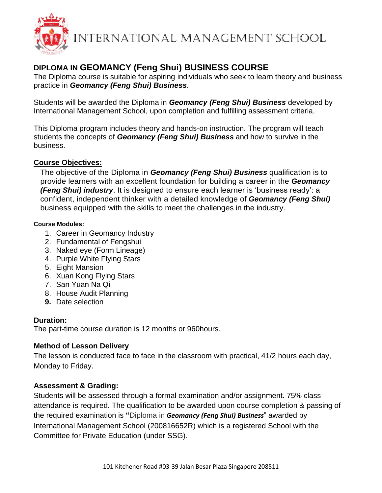

# **DIPLOMA IN GEOMANCY (Feng Shui) BUSINESS COURSE**

The Diploma course is suitable for aspiring individuals who seek to learn theory and business practice in *Geomancy (Feng Shui) Business*.

Students will be awarded the Diploma in *Geomancy (Feng Shui) Business* developed by International Management School, upon completion and fulfilling assessment criteria.

This Diploma program includes theory and hands-on instruction. The program will teach students the concepts of *Geomancy (Feng Shui) Business* and how to survive in the business.

## **Course Objectives:**

The objective of the Diploma in *Geomancy (Feng Shui) Business* qualification is to provide learners with an excellent foundation for building a career in the *Geomancy (Feng Shui) industry*. It is designed to ensure each learner is 'business ready': a confident, independent thinker with a detailed knowledge of *Geomancy (Feng Shui)* business equipped with the skills to meet the challenges in the industry.

#### **Course Modules:**

- 1. Career in Geomancy Industry
- 2. Fundamental of Fengshui
- 3. Naked eye (Form Lineage)
- 4. Purple White Flying Stars
- 5. Eight Mansion
- 6. Xuan Kong Flying Stars
- 7. San Yuan Na Qi
- 8. House Audit Planning
- **9.** Date selection

## **Duration:**

The part-time course duration is 12 months or 960hours.

## **Method of Lesson Delivery**

The lesson is conducted face to face in the classroom with practical, 41/2 hours each day, Monday to Friday.

## **Assessment & Grading:**

Students will be assessed through a formal examination and/or assignment. 75% class attendance is required. The qualification to be awarded upon course completion & passing of the required examination is **"**Diploma in *Geomancy (Feng Shui) Business*" awarded by International Management School (200816652R) which is a registered School with the Committee for Private Education (under SSG).